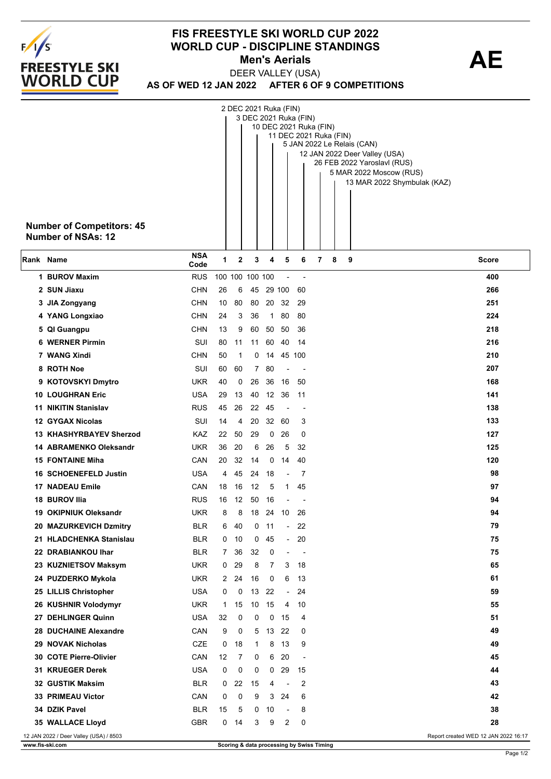

## **FIS FREESTYLE SKI WORLD CUP 2022 WORLD CUP - DISCIPLINE STANDINGS<br>Men's Aerials <b>AE Men's Aerials**

**AS OF WED 12 JAN 2022 AFTER 6 OF 9 COMPETITIONS** DEER VALLEY (USA)

|           | <b>Number of Competitors: 45</b><br><b>Number of NSAs: 12</b> |                    |                 | 2 DEC 2021 Ruka (FIN) |                |                   |                                | 3 DEC 2021 Ruka (FIN)    | 10 DEC 2021 Ruka (FIN)<br>11 DEC 2021 Ruka (FIN)<br>5 JAN 2022 Le Relais (CAN)<br>12 JAN 2022 Deer Valley (USA)<br>26 FEB 2022 Yaroslavl (RUS)<br>5 MAR 2022 Moscow (RUS)<br>13 MAR 2022 Shymbulak (KAZ) |
|-----------|---------------------------------------------------------------|--------------------|-----------------|-----------------------|----------------|-------------------|--------------------------------|--------------------------|----------------------------------------------------------------------------------------------------------------------------------------------------------------------------------------------------------|
| Rank Name |                                                               | <b>NSA</b><br>Code | 1               | 2                     | 3              | 4                 | 5                              | 6                        | 7<br>8<br>9<br><b>Score</b>                                                                                                                                                                              |
|           | 1 BUROV Maxim                                                 | <b>RUS</b>         | 100 100 100 100 |                       |                |                   |                                | $\overline{\phantom{a}}$ | 400                                                                                                                                                                                                      |
|           | 2 SUN Jiaxu                                                   | <b>CHN</b>         | 26              | 6                     |                | 45 29 100         |                                | 60                       | 266                                                                                                                                                                                                      |
|           | 3 JIA Zongyang                                                | <b>CHN</b>         | 10              | 80                    |                | 80 20 32          |                                | -29                      | 251                                                                                                                                                                                                      |
|           | 4 YANG Longxiao                                               | <b>CHN</b>         | 24              | 3                     | 36             | $\mathbf{1}$      | 80                             | 80                       | 224                                                                                                                                                                                                      |
|           | 5 QI Guangpu                                                  | <b>CHN</b>         | 13              | 9                     | 60             |                   | 50 50                          | 36                       | 218                                                                                                                                                                                                      |
|           | <b>6 WERNER Pirmin</b>                                        | <b>SUI</b>         | 80              | 11                    |                | 11 60 40          |                                | -14                      | 216                                                                                                                                                                                                      |
|           | 7 WANG Xindi                                                  | CHN                | 50              | 1                     | 0              |                   | 14 45 100                      |                          | 210                                                                                                                                                                                                      |
|           | 8 ROTH Noe                                                    | SUI                | 60              | 60                    | $\overline{7}$ | 80                |                                |                          | 207                                                                                                                                                                                                      |
|           | 9 KOTOVSKYI Dmytro                                            | <b>UKR</b>         | 40              | 0                     |                | 26 36             | 16                             | 50                       | 168                                                                                                                                                                                                      |
|           | <b>10 LOUGHRAN Eric</b>                                       | <b>USA</b>         | 29              | 13                    | 40             | $12 \overline{ }$ | -36                            | 11                       | 141                                                                                                                                                                                                      |
|           | <b>11 NIKITIN Stanislav</b>                                   | <b>RUS</b>         | 45              | 26                    |                | 22 45             |                                | $\overline{\phantom{a}}$ | 138                                                                                                                                                                                                      |
|           | 12 GYGAX Nicolas                                              | SUI                | 14              | 4                     | 20             | 32                | 60                             | 3                        | 133                                                                                                                                                                                                      |
|           | <b>13 KHASHYRBAYEV Sherzod</b>                                | KAZ                | 22              | 50                    | 29             | 0                 | 26                             | 0                        | 127                                                                                                                                                                                                      |
|           | <b>14 ABRAMENKO Oleksandr</b>                                 | <b>UKR</b>         | 36              | 20                    | 6              | 26                | 5                              | 32                       | 125                                                                                                                                                                                                      |
|           | <b>15 FONTAINE Miha</b>                                       | CAN                | 20              | 32                    | 14             | 0                 | 14                             | 40                       | 120                                                                                                                                                                                                      |
|           | <b>16 SCHOENEFELD Justin</b><br><b>17 NADEAU Emile</b>        | USA<br>CAN         | 4               | 45<br>16              | 24<br>12       | 18<br>5           | $\blacksquare$<br>$\mathbf{1}$ | 7<br>45                  | 98<br>97                                                                                                                                                                                                 |
|           | 18 BUROV Ilia                                                 | <b>RUS</b>         | 18<br>16        | 12                    | 50             | 16                |                                |                          | 94                                                                                                                                                                                                       |
|           | 19 OKIPNIUK Oleksandr                                         | UKR                | 8               | 8                     | 18             |                   | 24 10                          | -26                      | 94                                                                                                                                                                                                       |
|           | 20 MAZURKEVICH Dzmitry                                        | BLR                | 6               | 40                    |                | $0$ 11            | $\sim$                         | 22                       | 79                                                                                                                                                                                                       |
|           | 21 HLADCHENKA Stanislau                                       | <b>BLR</b>         | 0               | 10                    | 0              | 45                | $\overline{\phantom{a}}$       | 20                       | 75                                                                                                                                                                                                       |
|           | 22 DRABIANKOU Ihar                                            | <b>BLR</b>         | $7^{\circ}$     | 36                    | 32             | 0                 |                                | $\overline{\phantom{a}}$ | 75                                                                                                                                                                                                       |
|           | 23 KUZNIETSOV Maksym                                          | UKR                | 0               | 29                    | 8              | 7                 | 3                              | 18                       | 65                                                                                                                                                                                                       |
|           | 24 PUZDERKO Mykola                                            | UKR                | $\mathbf{2}$    | 24                    | 16             | 0                 | 6                              | 13                       | 61                                                                                                                                                                                                       |
|           | 25 LILLIS Christopher                                         | <b>USA</b>         | 0               | 0                     |                | 13 22             | $\overline{\phantom{a}}$       | 24                       | 59                                                                                                                                                                                                       |
|           | 26 KUSHNIR Volodymyr                                          | UKR                | 1               | 15                    | 10             | 15                | 4                              | 10                       | 55                                                                                                                                                                                                       |
|           | 27 DEHLINGER Quinn                                            | <b>USA</b>         | 32              | 0                     | 0              | 0                 | 15                             | 4                        | 51                                                                                                                                                                                                       |
|           | 28 DUCHAINE Alexandre                                         | CAN                | 9               | 0                     | 5              | 13 <sup>2</sup>   | 22                             | 0                        | 49                                                                                                                                                                                                       |
|           | 29 NOVAK Nicholas                                             | CZE                | 0               | 18                    | $\mathbf{1}$   | 8                 | 13                             | 9                        | 49                                                                                                                                                                                                       |
|           | 30 COTE Pierre-Olivier                                        | CAN                | 12              | 7                     | 0              | 6                 | 20                             |                          | 45                                                                                                                                                                                                       |
|           | 31 KRUEGER Derek                                              | <b>USA</b>         | 0               | 0                     | 0              | $\mathbf{0}$      | 29                             | 15                       | 44                                                                                                                                                                                                       |
|           | 32 GUSTIK Maksim                                              | <b>BLR</b>         | 0               | 22                    | 15             | 4                 | $\overline{\phantom{a}}$       | 2                        | 43                                                                                                                                                                                                       |
|           | 33 PRIMEAU Victor                                             | CAN                | 0               | 0                     | 9              | 3                 | 24                             | 6                        | 42                                                                                                                                                                                                       |
|           | 34 DZIK Pavel                                                 | <b>BLR</b>         | 15              | 5                     | 0              | 10                | $\overline{\phantom{a}}$       | 8                        | 38                                                                                                                                                                                                       |
|           | 35 WALLACE Lloyd                                              | <b>GBR</b>         | 0               | 14                    | 3              | 9                 | 2                              | 0                        | 28                                                                                                                                                                                                       |
|           | 12 JAN 2022 / Deer Valley (USA) / 8503                        |                    |                 |                       |                |                   |                                |                          | Report created WED 12 JAN 2022 16:17                                                                                                                                                                     |